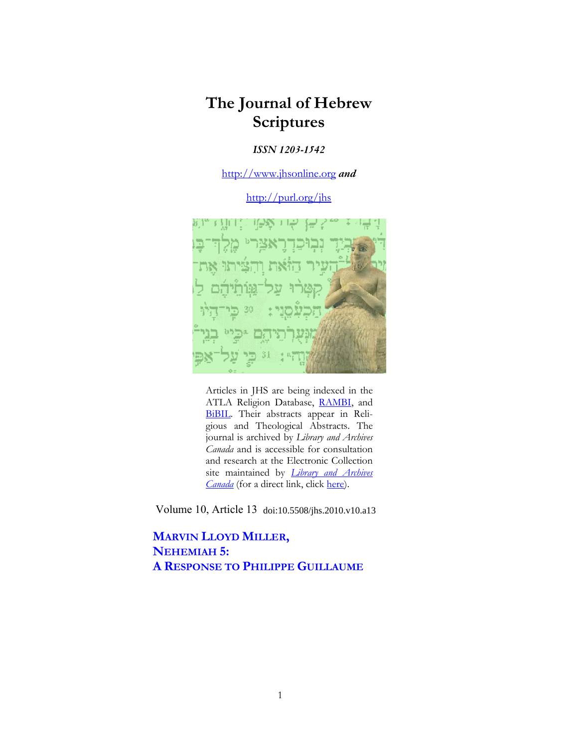## **The Journal of Hebrew Scriptures**

## *ISSN 1203-1542*

[http://www.jhsonline.org](http://www.jhsonline.org/) *and*

<http://purl.org/jhs>



Articles in JHS are being indexed in the ATLA Religion Database, [RAMBI,](http://jnul.huji.ac.il/rambi/) and [BiBIL.](https://wwwdbunil.unil.ch/bibil/bi/en/bibilhome.html) Their abstracts appear in Religious and Theological Abstracts. The journal is archived by *Library and Archives Canada* and is accessible for consultation and research at the Electronic Collection site maintained by *[Library and Archives](http://collectionscanada.ca/electroniccollection/003008-200-e.html)  [Canada](http://collectionscanada.ca/electroniccollection/003008-200-e.html)* (for a direct link, click [here\)](http://epe.lac-bac.gc.ca/100/201/300/journal_hebrew/index.html).

Volume 10, Article 13 doi:10.5508/jhs.2010.v10.a13

**MARVIN LLOYD MILLER, NEHEMIAH 5: A RESPONSE TO PHILIPPE GUILLAUME**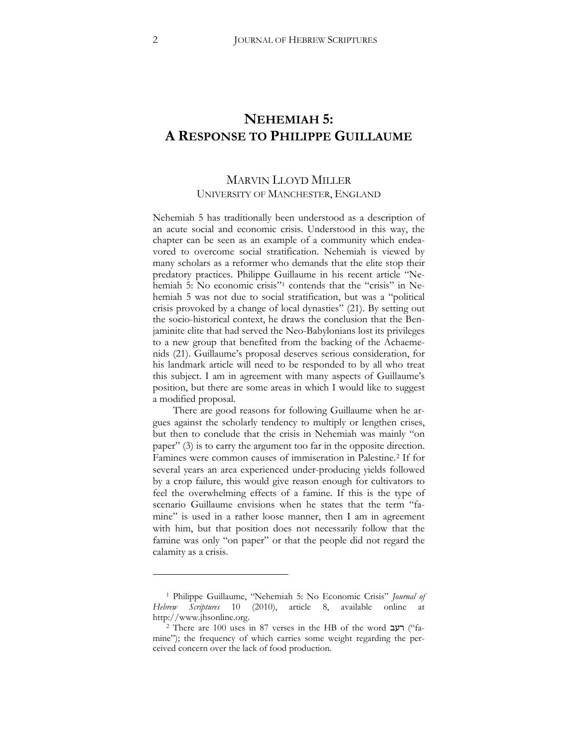## **NEHEMIAH 5: A RESPONSE TO PHILIPPE GUILLAUME**

## MARVIN LLOYD MILLER UNIVERSITY OF MANCHESTER, ENGLAND

Nehemiah 5 has traditionally been understood as a description of an acute social and economic crisis. Understood in this way, the chapter can be seen as an example of a community which endeavored to overcome social stratification. Nehemiah is viewed by many scholars as a reformer who demands that the elite stop their predatory practices. Philippe Guillaume in his recent article "Ne-hemiah 5: No economic crisis"<sup>[1](#page-1-0)</sup> contends that the "crisis" in Nehemiah 5 was not due to social stratification, but was a "political crisis provoked by a change of local dynasties" (21). By setting out the socio-historical context, he draws the conclusion that the Benjaminite elite that had served the Neo-Babylonians lost its privileges to a new group that benefited from the backing of the Achaemenids (21). Guillaume's proposal deserves serious consideration, for his landmark article will need to be responded to by all who treat this subject. I am in agreement with many aspects of Guillaume's position, but there are some areas in which I would like to suggest a modified proposal.

There are good reasons for following Guillaume when he argues against the scholarly tendency to multiply or lengthen crises, but then to conclude that the crisis in Nehemiah was mainly "on paper" (3) is to carry the argument too far in the opposite direction. Famines were common causes of immiseration in Palestine.[2](#page-1-1) If for several years an area experienced under-producing yields followed by a crop failure, this would give reason enough for cultivators to feel the overwhelming effects of a famine. If this is the type of scenario Guillaume envisions when he states that the term "famine" is used in a rather loose manner, then I am in agreement with him, but that position does not necessarily follow that the famine was only "on paper" or that the people did not regard the calamity as a crisis.

<span id="page-1-0"></span><sup>1</sup> Philippe Guillaume, "Nehemiah 5: No Economic Crisis" *Journal of Hebrew Scriptures* 10 (2010), article 8, available online at http://www.jhsonline.org.

<span id="page-1-1"></span><sup>&</sup>lt;sup>2</sup> There are 100 uses in 87 verses in the HB of the word "famine"); the frequency of which carries some weight regarding the perceived concern over the lack of food production.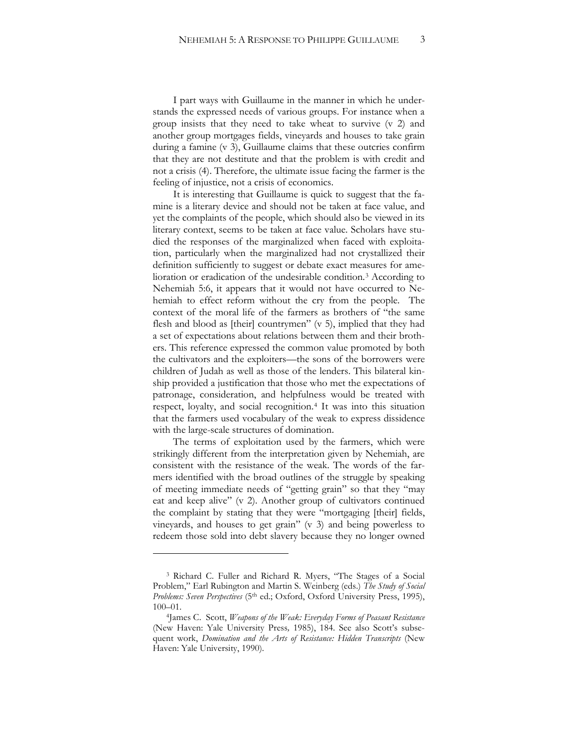I part ways with Guillaume in the manner in which he understands the expressed needs of various groups. For instance when a group insists that they need to take wheat to survive (v 2) and another group mortgages fields, vineyards and houses to take grain during a famine (v 3), Guillaume claims that these outcries confirm that they are not destitute and that the problem is with credit and not a crisis (4). Therefore, the ultimate issue facing the farmer is the feeling of injustice, not a crisis of economics.

It is interesting that Guillaume is quick to suggest that the famine is a literary device and should not be taken at face value, and yet the complaints of the people, which should also be viewed in its literary context, seems to be taken at face value. Scholars have studied the responses of the marginalized when faced with exploitation, particularly when the marginalized had not crystallized their definition sufficiently to suggest or debate exact measures for amelioration or eradication of the undesirable condition.[3](#page-2-0) According to Nehemiah 5:6, it appears that it would not have occurred to Nehemiah to effect reform without the cry from the people. The context of the moral life of the farmers as brothers of "the same flesh and blood as [their] countrymen" (v 5), implied that they had a set of expectations about relations between them and their brothers. This reference expressed the common value promoted by both the cultivators and the exploiters—the sons of the borrowers were children of Judah as well as those of the lenders. This bilateral kinship provided a justification that those who met the expectations of patronage, consideration, and helpfulness would be treated with respect, loyalty, and social recognition.[4](#page-2-1) It was into this situation that the farmers used vocabulary of the weak to express dissidence with the large-scale structures of domination.

The terms of exploitation used by the farmers, which were strikingly different from the interpretation given by Nehemiah, are consistent with the resistance of the weak. The words of the farmers identified with the broad outlines of the struggle by speaking of meeting immediate needs of "getting grain" so that they "may eat and keep alive" (v 2). Another group of cultivators continued the complaint by stating that they were "mortgaging [their] fields, vineyards, and houses to get grain" (v 3) and being powerless to redeem those sold into debt slavery because they no longer owned

<span id="page-2-0"></span><sup>3</sup> Richard C. Fuller and Richard R. Myers, "The Stages of a Social Problem," Earl Rubington and Martin S. Weinberg (eds.) *The Study of Social*  Problems: Seven Perspectives (5<sup>th</sup> ed.; Oxford, Oxford University Press, 1995), 100–01.

<span id="page-2-1"></span><sup>4</sup>James C. Scott, *Weapons of the Weak: Everyday Forms of Peasant Resistance*  (New Haven: Yale University Press*,* 1985), 184. See also Scott's subsequent work, *Domination and the Arts of Resistance: Hidden Transcripts* (New Haven: Yale University, 1990).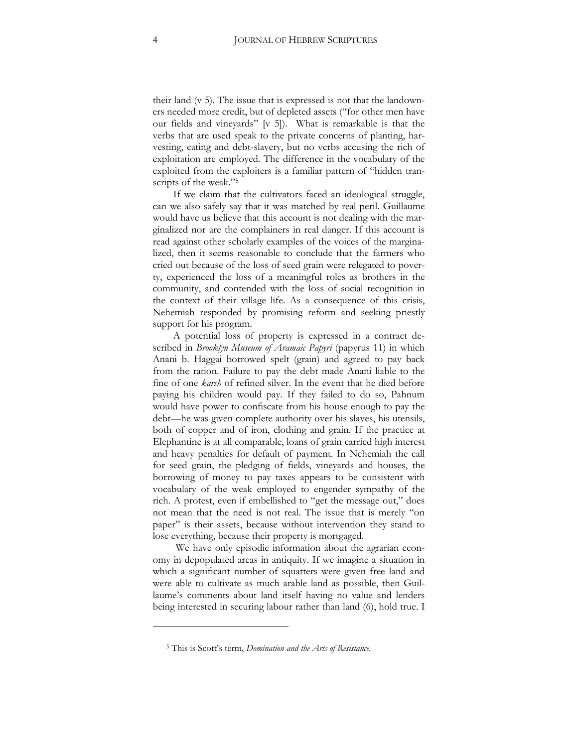their land (v 5). The issue that is expressed is not that the landowners needed more credit, but of depleted assets ("for other men have our fields and vineyards" [v 5]). What is remarkable is that the verbs that are used speak to the private concerns of planting, harvesting, eating and debt-slavery, but no verbs accusing the rich of exploitation are employed. The difference in the vocabulary of the exploited from the exploiters is a familiar pattern of "hidden transcripts of the weak."[5](#page-3-0) 

If we claim that the cultivators faced an ideological struggle, can we also safely say that it was matched by real peril. Guillaume would have us believe that this account is not dealing with the marginalized nor are the complainers in real danger. If this account is read against other scholarly examples of the voices of the marginalized, then it seems reasonable to conclude that the farmers who cried out because of the loss of seed grain were relegated to poverty, experienced the loss of a meaningful roles as brothers in the community, and contended with the loss of social recognition in the context of their village life. As a consequence of this crisis, Nehemiah responded by promising reform and seeking priestly support for his program.

A potential loss of property is expressed in a contract described in *Brooklyn Museum of Aramaic Papyri* (papyrus 11) in which Anani b. Haggai borrowed spelt (grain) and agreed to pay back from the ration. Failure to pay the debt made Anani liable to the fine of one *karsh* of refined silver. In the event that he died before paying his children would pay. If they failed to do so, Pahnum would have power to confiscate from his house enough to pay the debt—he was given complete authority over his slaves, his utensils, both of copper and of iron, clothing and grain. If the practice at Elephantine is at all comparable, loans of grain carried high interest and heavy penalties for default of payment. In Nehemiah the call for seed grain, the pledging of fields, vineyards and houses, the borrowing of money to pay taxes appears to be consistent with vocabulary of the weak employed to engender sympathy of the rich. A protest, even if embellished to "get the message out," does not mean that the need is not real. The issue that is merely "on paper" is their assets, because without intervention they stand to lose everything, because their property is mortgaged.

We have only episodic information about the agrarian economy in depopulated areas in antiquity. If we imagine a situation in which a significant number of squatters were given free land and were able to cultivate as much arable land as possible, then Guillaume's comments about land itself having no value and lenders being interested in securing labour rather than land (6), hold true. I

<span id="page-3-0"></span><sup>5</sup> This is Scott's term, *Domination and the Arts of Resistance.*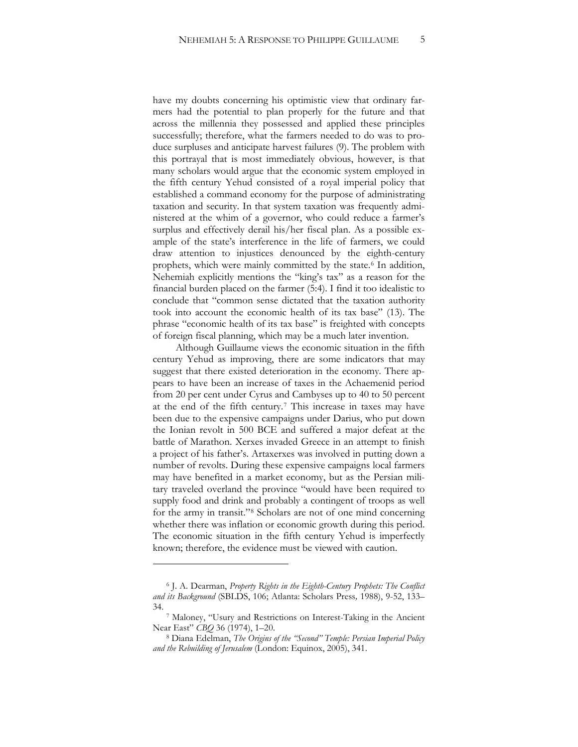have my doubts concerning his optimistic view that ordinary farmers had the potential to plan properly for the future and that across the millennia they possessed and applied these principles successfully; therefore, what the farmers needed to do was to produce surpluses and anticipate harvest failures (9). The problem with this portrayal that is most immediately obvious, however, is that many scholars would argue that the economic system employed in the fifth century Yehud consisted of a royal imperial policy that established a command economy for the purpose of administrating taxation and security. In that system taxation was frequently administered at the whim of a governor, who could reduce a farmer's surplus and effectively derail his/her fiscal plan. As a possible example of the state's interference in the life of farmers, we could draw attention to injustices denounced by the eighth-century prophets, which were mainly committed by the state.<sup>[6](#page-4-0)</sup> In addition, Nehemiah explicitly mentions the "king's tax" as a reason for the financial burden placed on the farmer (5:4). I find it too idealistic to conclude that "common sense dictated that the taxation authority took into account the economic health of its tax base" (13). The phrase "economic health of its tax base" is freighted with concepts of foreign fiscal planning, which may be a much later invention.

Although Guillaume views the economic situation in the fifth century Yehud as improving, there are some indicators that may suggest that there existed deterioration in the economy. There appears to have been an increase of taxes in the Achaemenid period from 20 per cent under Cyrus and Cambyses up to 40 to 50 percent at the end of the fifth century.[7](#page-4-1) This increase in taxes may have been due to the expensive campaigns under Darius, who put down the Ionian revolt in 500 BCE and suffered a major defeat at the battle of Marathon. Xerxes invaded Greece in an attempt to finish a project of his father's. Artaxerxes was involved in putting down a number of revolts. During these expensive campaigns local farmers may have benefited in a market economy, but as the Persian military traveled overland the province "would have been required to supply food and drink and probably a contingent of troops as well for the army in transit."[8](#page-4-2) Scholars are not of one mind concerning whether there was inflation or economic growth during this period. The economic situation in the fifth century Yehud is imperfectly known; therefore, the evidence must be viewed with caution.

 $\ddot{\phantom{a}}$ 

<span id="page-4-0"></span><sup>6</sup> J. A. Dearman, *Property Rights in the Eighth-Century Prophets: The Conflict*  and its Background (SBLDS, 106; Atlanta: Scholars Press, 1988), 9-52, 133– 34.

<span id="page-4-1"></span><sup>7</sup> Maloney, "Usury and Restrictions on Interest-Taking in the Ancient Near East" *CBQ* 36 (1974), 1–20.

<span id="page-4-2"></span><sup>8</sup> Diana Edelman, *The Origins of the "Second" Temple: Persian Imperial Policy and the Rebuilding of Jerusalem* (London: Equinox, 2005), 341.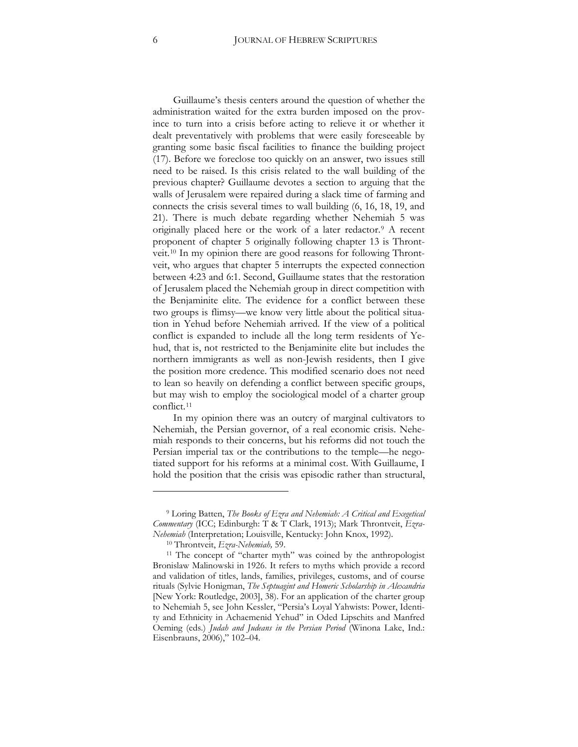Guillaume's thesis centers around the question of whether the administration waited for the extra burden imposed on the province to turn into a crisis before acting to relieve it or whether it dealt preventatively with problems that were easily foreseeable by granting some basic fiscal facilities to finance the building project (17). Before we foreclose too quickly on an answer, two issues still need to be raised. Is this crisis related to the wall building of the previous chapter? Guillaume devotes a section to arguing that the walls of Jerusalem were repaired during a slack time of farming and connects the crisis several times to wall building (6, 16, 18, 19, and 21). There is much debate regarding whether Nehemiah 5 was originally placed here or the work of a later redactor.[9](#page-5-0) A recent proponent of chapter 5 originally following chapter 13 is Throntveit.[10](#page-5-1) In my opinion there are good reasons for following Throntveit, who argues that chapter 5 interrupts the expected connection between 4:23 and 6:1. Second, Guillaume states that the restoration of Jerusalem placed the Nehemiah group in direct competition with the Benjaminite elite. The evidence for a conflict between these two groups is flimsy—we know very little about the political situation in Yehud before Nehemiah arrived. If the view of a political conflict is expanded to include all the long term residents of Yehud, that is, not restricted to the Benjaminite elite but includes the northern immigrants as well as non-Jewish residents, then I give the position more credence. This modified scenario does not need to lean so heavily on defending a conflict between specific groups, but may wish to employ the sociological model of a charter group conflict.[11](#page-5-2) 

In my opinion there was an outcry of marginal cultivators to Nehemiah, the Persian governor, of a real economic crisis. Nehemiah responds to their concerns, but his reforms did not touch the Persian imperial tax or the contributions to the temple—he negotiated support for his reforms at a minimal cost. With Guillaume, I hold the position that the crisis was episodic rather than structural,

<span id="page-5-0"></span><sup>9</sup> Loring Batten, *The Books of Ezra and Nehemiah: A Critical and Exegetical Commentary* (ICC; Edinburgh: T & T Clark, 1913); Mark Throntveit, *Ezra-Nehemiah* (Interpretation; Louisville, Kentucky: John Knox, 1992).

<sup>10</sup> Throntveit, *Ezra-Nehemiah,* 59.

<span id="page-5-2"></span><span id="page-5-1"></span><sup>11</sup> The concept of "charter myth" was coined by the anthropologist Bronislaw Malinowski in 1926. It refers to myths which provide a record and validation of titles, lands, families, privileges, customs, and of course rituals (Sylvie Honigman, *The Septuagint and Homeric Scholarship in Alexandria*  [New York: Routledge, 2003], 38). For an application of the charter group to Nehemiah 5, see John Kessler, "Persia's Loyal Yahwists: Power, Identity and Ethnicity in Achaemenid Yehud" in Oded Lipschits and Manfred Oeming (eds.) *Judah and Judeans in the Persian Period* (Winona Lake, Ind.: Eisenbrauns, 2006)," 102–04.